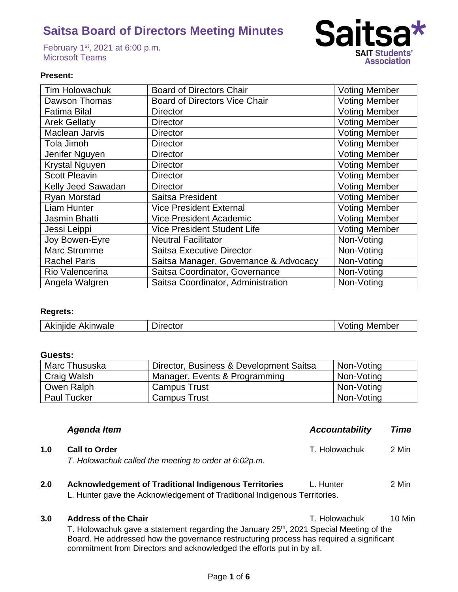February 1st, 2021 at 6:00 p.m. Microsoft Teams



## **Present:**

| <b>Tim Holowachuk</b> | <b>Board of Directors Chair</b>       | <b>Voting Member</b> |
|-----------------------|---------------------------------------|----------------------|
| Dawson Thomas         | <b>Board of Directors Vice Chair</b>  | <b>Voting Member</b> |
| <b>Fatima Bilal</b>   | <b>Director</b>                       | <b>Voting Member</b> |
| <b>Arek Gellatly</b>  | <b>Director</b>                       | <b>Voting Member</b> |
| Maclean Jarvis        | <b>Director</b>                       | <b>Voting Member</b> |
| Tola Jimoh            | <b>Director</b>                       | <b>Voting Member</b> |
| Jenifer Nguyen        | <b>Director</b>                       | <b>Voting Member</b> |
| <b>Krystal Nguyen</b> | <b>Director</b>                       | <b>Voting Member</b> |
| <b>Scott Pleavin</b>  | <b>Director</b>                       | <b>Voting Member</b> |
| Kelly Jeed Sawadan    | <b>Director</b>                       | <b>Voting Member</b> |
| <b>Ryan Morstad</b>   | Saitsa President                      | <b>Voting Member</b> |
| <b>Liam Hunter</b>    | <b>Vice President External</b>        | <b>Voting Member</b> |
| Jasmin Bhatti         | Vice President Academic               | <b>Voting Member</b> |
| Jessi Leippi          | <b>Vice President Student Life</b>    | <b>Voting Member</b> |
| Joy Bowen-Eyre        | <b>Neutral Facilitator</b>            | Non-Voting           |
| <b>Marc Stromme</b>   | Saitsa Executive Director             | Non-Voting           |
| <b>Rachel Paris</b>   | Saitsa Manager, Governance & Advocacy | Non-Voting           |
| Rio Valencerina       | Saitsa Coordinator, Governance        | Non-Voting           |
| Angela Walgren        | Saitsa Coordinator, Administration    | Non-Voting           |

## **Regrets:**

## **Guests:**

| Marc Thususka      | Director, Business & Development Saitsa | Non-Voting |
|--------------------|-----------------------------------------|------------|
| Craig Walsh        | Manager, Events & Programming           | Non-Voting |
| Owen Ralph         | <b>Campus Trust</b>                     | Non-Voting |
| <b>Paul Tucker</b> | <b>Campus Trust</b>                     | Non-Voting |

|     | <b>Agenda Item</b>                                                                                                                        | <b>Accountability</b> | Time  |
|-----|-------------------------------------------------------------------------------------------------------------------------------------------|-----------------------|-------|
| 1.0 | <b>Call to Order</b><br>T. Holowachuk called the meeting to order at 6:02p.m.                                                             | T. Holowachuk         | 2 Min |
| 2.0 | <b>Acknowledgement of Traditional Indigenous Territories</b><br>L. Hunter gave the Acknowledgement of Traditional Indigenous Territories. | L. Hunter             | 2 Min |

## **3.0 Address of the Chair 10 Min T. Holowachuk** 10 Min

T. Holowachuk gave a statement regarding the January 25<sup>th</sup>, 2021 Special Meeting of the Board. He addressed how the governance restructuring process has required a significant commitment from Directors and acknowledged the efforts put in by all.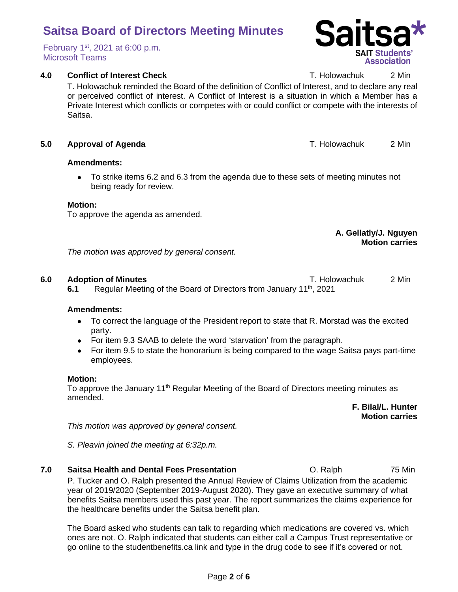#### Page **2** of **6**

# **Saitsa Board of Directors Meeting Minutes**

February 1st, 2021 at 6:00 p.m. Microsoft Teams

## **4.0 Conflict of Interest Check T. Holowachuk** 2 Min

T. Holowachuk reminded the Board of the definition of Conflict of Interest, and to declare any real or perceived conflict of interest. A Conflict of Interest is a situation in which a Member has a Private Interest which conflicts or competes with or could conflict or compete with the interests of Saitsa.

## **5.0 Approval of Agenda** T. Holowachuk 2 Min

## **Amendments:**

• To strike items 6.2 and 6.3 from the agenda due to these sets of meeting minutes not being ready for review.

## **Motion:**

To approve the agenda as amended.

### **A. Gellatly/J. Nguyen Motion carries**

*The motion was approved by general consent.* 

## **6.0 Adoption of Minutes** T. Holowachuk 2 Min

**6.1** Regular Meeting of the Board of Directors from January 11<sup>th</sup>, 2021

### **Amendments:**

- To correct the language of the President report to state that R. Morstad was the excited party.
- For item 9.3 SAAB to delete the word 'starvation' from the paragraph.
- For item 9.5 to state the honorarium is being compared to the wage Saitsa pays part-time employees.

## **Motion:**

To approve the January 11<sup>th</sup> Regular Meeting of the Board of Directors meeting minutes as amended.

> **F. Bilal/L. Hunter Motion carries**

*This motion was approved by general consent.* 

*S. Pleavin joined the meeting at 6:32p.m.*

**7.0 Saitsa Health and Dental Fees Presentation C. Ralph 6. Alph 75 Min** P. Tucker and O. Ralph presented the Annual Review of Claims Utilization from the academic year of 2019/2020 (September 2019-August 2020). They gave an executive summary of what benefits Saitsa members used this past year. The report summarizes the claims experience for the healthcare benefits under the Saitsa benefit plan.

The Board asked who students can talk to regarding which medications are covered vs. which ones are not. O. Ralph indicated that students can either call a Campus Trust representative or go online to the studentbenefits.ca link and type in the drug code to see if it's covered or not.

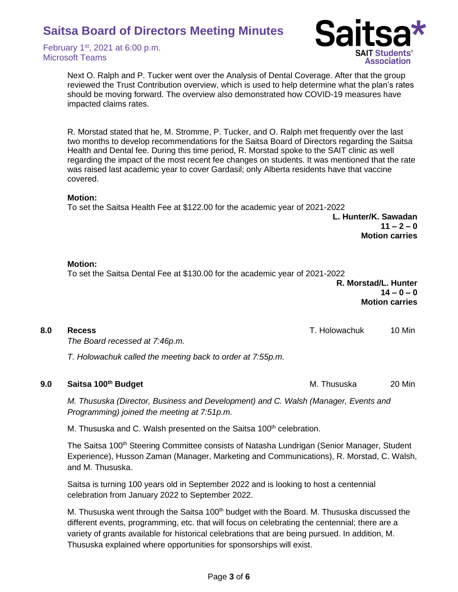February 1st, 2021 at 6:00 p.m. Microsoft Teams



Next O. Ralph and P. Tucker went over the Analysis of Dental Coverage. After that the group reviewed the Trust Contribution overview, which is used to help determine what the plan's rates should be moving forward. The overview also demonstrated how COVID-19 measures have impacted claims rates.

R. Morstad stated that he, M. Stromme, P. Tucker, and O. Ralph met frequently over the last two months to develop recommendations for the Saitsa Board of Directors regarding the Saitsa Health and Dental fee. During this time period, R. Morstad spoke to the SAIT clinic as well regarding the impact of the most recent fee changes on students. It was mentioned that the rate was raised last academic year to cover Gardasil; only Alberta residents have that vaccine covered.

### **Motion:**

To set the Saitsa Health Fee at \$122.00 for the academic year of 2021-2022

**L. Hunter/K. Sawadan**  $11 - 2 - 0$ **Motion carries**

### **Motion:**

To set the Saitsa Dental Fee at \$130.00 for the academic year of 2021-2022

| R. Morstad/L. Hunter  |
|-----------------------|
| $14 - 0 - 0$          |
| <b>Motion carries</b> |

| 8.0 | <b>Recess</b>                                              | T. Holowachuk | 10 Min |
|-----|------------------------------------------------------------|---------------|--------|
|     | The Board recessed at 7:46p.m.                             |               |        |
|     | T. Holowachuk called the meeting back to order at 7:55p.m. |               |        |

**9.0 Saitsa 100<sup>th</sup> Budget** M. Thususka 20 Min

*M. Thususka (Director, Business and Development) and C. Walsh (Manager, Events and Programming) joined the meeting at 7:51p.m.*

M. Thususka and C. Walsh presented on the Saitsa 100<sup>th</sup> celebration.

The Saitsa 100<sup>th</sup> Steering Committee consists of Natasha Lundrigan (Senior Manager, Student Experience), Husson Zaman (Manager, Marketing and Communications), R. Morstad, C. Walsh, and M. Thususka.

Saitsa is turning 100 years old in September 2022 and is looking to host a centennial celebration from January 2022 to September 2022.

M. Thususka went through the Saitsa 100<sup>th</sup> budget with the Board. M. Thususka discussed the different events, programming, etc. that will focus on celebrating the centennial; there are a variety of grants available for historical celebrations that are being pursued. In addition, M. Thususka explained where opportunities for sponsorships will exist.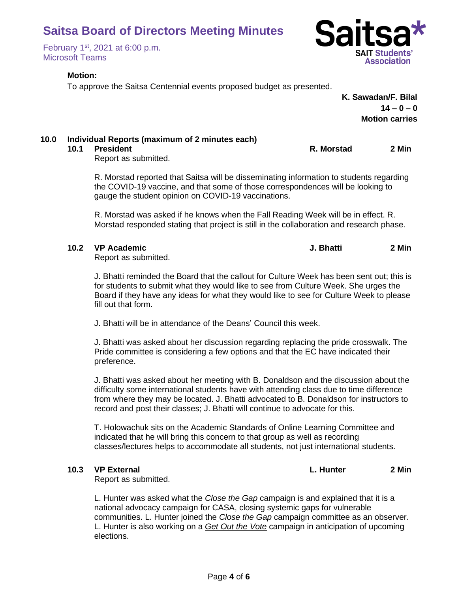February 1st, 2021 at 6:00 p.m. Microsoft Teams

## **Motion:**

To approve the Saitsa Centennial events proposed budget as presented.

**K. Sawadan/F. Bilal**  $14 - 0 - 0$ **Motion carries**

## **10.0 Individual Reports (maximum of 2 minutes each)**

Report as submitted.

R. Morstad reported that Saitsa will be disseminating information to students regarding the COVID-19 vaccine, and that some of those correspondences will be looking to gauge the student opinion on COVID-19 vaccinations.

R. Morstad was asked if he knows when the Fall Reading Week will be in effect. R. Morstad responded stating that project is still in the collaboration and research phase.

## **10.2 VP Academic J. Bhatti 2 Min**

Report as submitted.

J. Bhatti reminded the Board that the callout for Culture Week has been sent out; this is for students to submit what they would like to see from Culture Week. She urges the Board if they have any ideas for what they would like to see for Culture Week to please fill out that form.

J. Bhatti will be in attendance of the Deans' Council this week.

J. Bhatti was asked about her discussion regarding replacing the pride crosswalk. The Pride committee is considering a few options and that the EC have indicated their preference.

J. Bhatti was asked about her meeting with B. Donaldson and the discussion about the difficulty some international students have with attending class due to time difference from where they may be located. J. Bhatti advocated to B. Donaldson for instructors to record and post their classes; J. Bhatti will continue to advocate for this.

T. Holowachuk sits on the Academic Standards of Online Learning Committee and indicated that he will bring this concern to that group as well as recording classes/lectures helps to accommodate all students, not just international students.

**10.3 VP External L. Hunter 2 Min**

Report as submitted.

L. Hunter was asked what the *Close the Gap* campaign is and explained that it is a national advocacy campaign for CASA, closing systemic gaps for vulnerable communities. L. Hunter joined the *Close the Gap* campaign committee as an observer. L. Hunter is also working on a *Get Out the Vote* campaign in anticipation of upcoming elections.



**10.1 President R. Morstad 2 Min**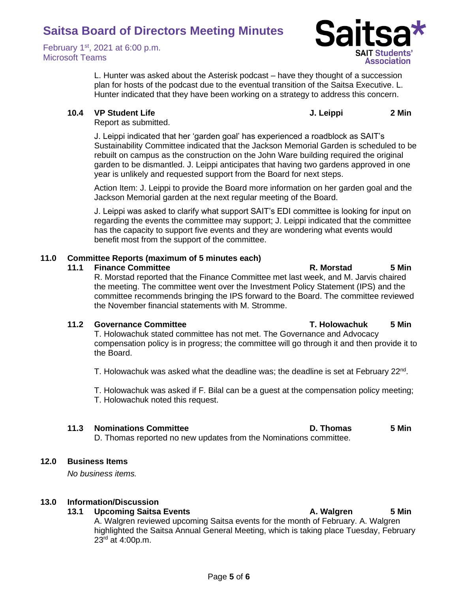February 1st, 2021 at 6:00 p.m. Microsoft Teams



L. Hunter was asked about the Asterisk podcast – have they thought of a succession plan for hosts of the podcast due to the eventual transition of the Saitsa Executive. L. Hunter indicated that they have been working on a strategy to address this concern.

**10.4 VP Student Life J. Leippi 2 Min**

Report as submitted.

J. Leippi indicated that her 'garden goal' has experienced a roadblock as SAIT's Sustainability Committee indicated that the Jackson Memorial Garden is scheduled to be rebuilt on campus as the construction on the John Ware building required the original garden to be dismantled. J. Leippi anticipates that having two gardens approved in one year is unlikely and requested support from the Board for next steps.

Action Item: J. Leippi to provide the Board more information on her garden goal and the Jackson Memorial garden at the next regular meeting of the Board.

J. Leippi was asked to clarify what support SAIT's EDI committee is looking for input on regarding the events the committee may support; J. Leippi indicated that the committee has the capacity to support five events and they are wondering what events would benefit most from the support of the committee.

## **11.0 Committee Reports (maximum of 5 minutes each)**

### **11.1 Finance Committee R. Morstad 5 Min**

R. Morstad reported that the Finance Committee met last week, and M. Jarvis chaired the meeting. The committee went over the Investment Policy Statement (IPS) and the committee recommends bringing the IPS forward to the Board. The committee reviewed the November financial statements with M. Stromme.

## **11.2 Governance Committee T. Holowachuk 5 Min**

T. Holowachuk stated committee has not met. The Governance and Advocacy compensation policy is in progress; the committee will go through it and then provide it to the Board.

T. Holowachuk was asked what the deadline was; the deadline is set at February 22<sup>nd</sup>.

T. Holowachuk was asked if F. Bilal can be a guest at the compensation policy meeting; T. Holowachuk noted this request.

## **11.3 Nominations Committee D. Thomas 5 Min**

D. Thomas reported no new updates from the Nominations committee.

## **12.0 Business Items**

*No business items.*

## **13.0 Information/Discussion**

## **13.1 Upcoming Saitsa Events A. Walgren 5 Min**

A. Walgren reviewed upcoming Saitsa events for the month of February. A. Walgren highlighted the Saitsa Annual General Meeting, which is taking place Tuesday, February  $23^{rd}$  at 4:00p.m.